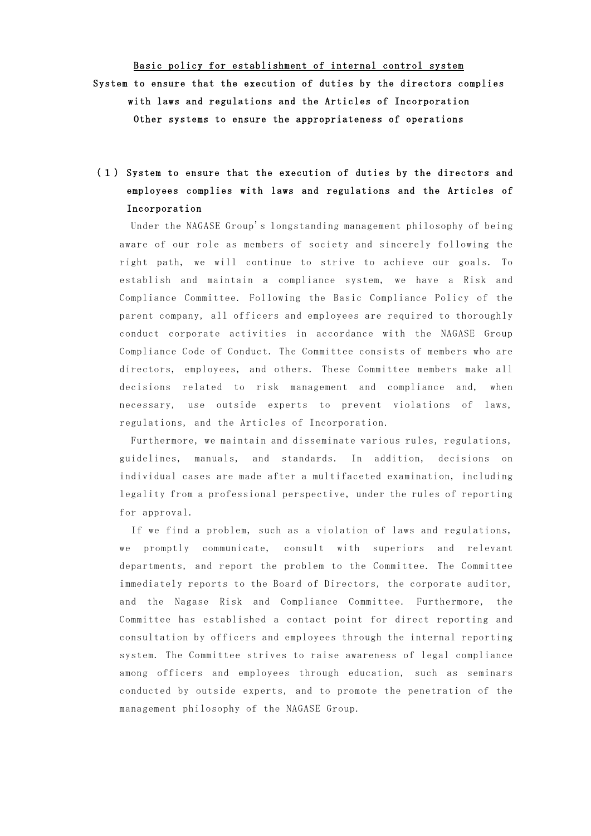Basic policy for establishment of internal control system System to ensure that the execution of duties by the directors complies with laws and regulations and the Articles of Incorporation Other systems to ensure the appropriateness of operations

# (1) System to ensure that the execution of duties by the directors and employees complies with laws and regulations and the Articles of Incorporation

Under the NAGASE Group's longstanding management philosophy of being aware of our role as members of society and sincerely following the right path, we will continue to strive to achieve our goals. To establish and maintain a compliance system, we have a Risk and Compliance Committee. Following the Basic Compliance Policy of the parent company, all officers and employees are required to thoroughly conduct corporate activities in accordance with the NAGASE Group Compliance Code of Conduct. The Committee consists of members who are directors, employees, and others. These Committee members make all decisions related to risk management and compliance and, when necessary, use outside experts to prevent violations of laws, regulations, and the Articles of Incorporation.

Furthermore, we maintain and disseminate various rules, regulations, guidelines, manuals, and standards. In addition, decisions on individual cases are made after a multifaceted examination, including legality from a professional perspective, under the rules of reporting for approval.

If we find a problem, such as a violation of laws and regulations, we promptly communicate, consult with superiors and relevant departments, and report the problem to the Committee. The Committee immediately reports to the Board of Directors, the corporate auditor, and the Nagase Risk and Compliance Committee. Furthermore, the Committee has established a contact point for direct reporting and consultation by officers and employees through the internal reporting system. The Committee strives to raise awareness of legal compliance among officers and employees through education, such as seminars conducted by outside experts, and to promote the penetration of the management philosophy of the NAGASE Group.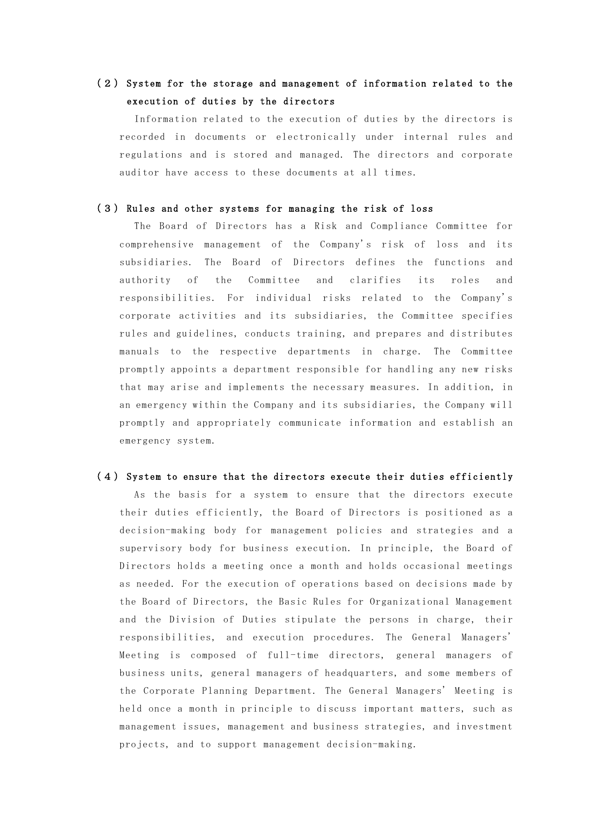### (2) System for the storage and management of information related to the execution of duties by the directors

Information related to the execution of duties by the directors is recorded in documents or electronically under internal rules and regulations and is stored and managed. The directors and corporate auditor have access to these documents at all times.

#### (3) Rules and other systems for managing the risk of loss

The Board of Directors has a Risk and Compliance Committee for comprehensive management of the Company's risk of loss and its subsidiaries. The Board of Directors defines the functions and authority of the Committee and clarifies its roles and responsibilities. For individual risks related to the Company's corporate activities and its subsidiaries, the Committee specifies rules and guidelines, conducts training, and prepares and distributes manuals to the respective departments in charge. The Committee promptly appoints a department responsible for handling any new risks that may arise and implements the necessary measures. In addition, in an emergency within the Company and its subsidiaries, the Company will promptly and appropriately communicate information and establish an emergency system.

#### (4) System to ensure that the directors execute their duties efficiently

As the basis for a system to ensure that the directors execute their duties efficiently, the Board of Directors is positioned as a decision-making body for management policies and strategies and a supervisory body for business execution. In principle, the Board of Directors holds a meeting once a month and holds occasional meetings as needed. For the execution of operations based on decisions made by the Board of Directors, the Basic Rules for Organizational Management and the Division of Duties stipulate the persons in charge, their responsibilities, and execution procedures. The General Managers' Meeting is composed of full-time directors, general managers of business units, general managers of headquarters, and some members of the Corporate Planning Department. The General Managers' Meeting is held once a month in principle to discuss important matters, such as management issues, management and business strategies, and investment projects, and to support management decision-making.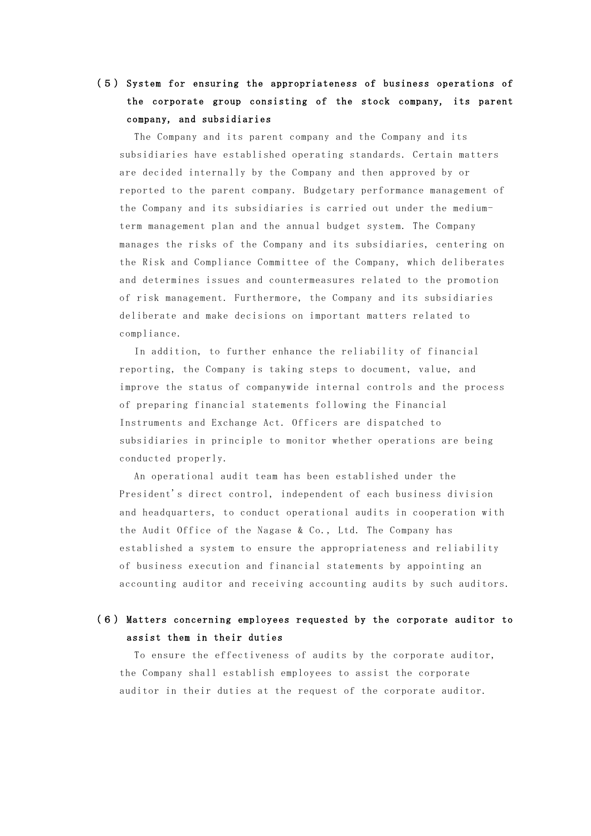## (5) System for ensuring the appropriateness of business operations of the corporate group consisting of the stock company, its parent company, and subsidiaries

The Company and its parent company and the Company and its subsidiaries have established operating standards. Certain matters are decided internally by the Company and then approved by or reported to the parent company. Budgetary performance management of the Company and its subsidiaries is carried out under the mediumterm management plan and the annual budget system. The Company manages the risks of the Company and its subsidiaries, centering on the Risk and Compliance Committee of the Company, which deliberates and determines issues and countermeasures related to the promotion of risk management. Furthermore, the Company and its subsidiaries deliberate and make decisions on important matters related to compliance.

In addition, to further enhance the reliability of financial reporting, the Company is taking steps to document, value, and improve the status of companywide internal controls and the process of preparing financial statements following the Financial Instruments and Exchange Act. Officers are dispatched to subsidiaries in principle to monitor whether operations are being conducted properly.

An operational audit team has been established under the President's direct control, independent of each business division and headquarters, to conduct operational audits in cooperation with the Audit Office of the Nagase & Co., Ltd. The Company has established a system to ensure the appropriateness and reliability of business execution and financial statements by appointing an accounting auditor and receiving accounting audits by such auditors.

### (6) Matters concerning employees requested by the corporate auditor to assist them in their duties

To ensure the effectiveness of audits by the corporate auditor, the Company shall establish employees to assist the corporate auditor in their duties at the request of the corporate auditor.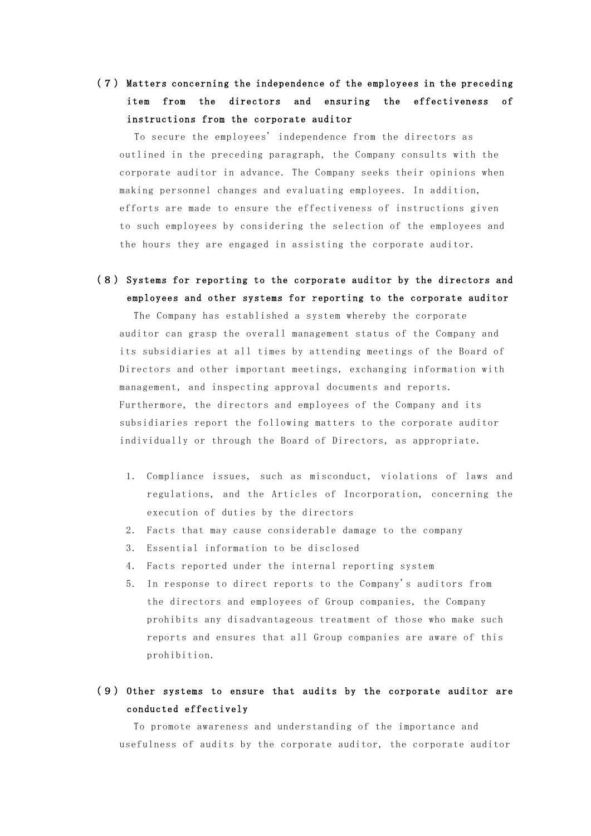## (7) Matters concerning the independence of the employees in the preceding item from the directors and ensuring the effectiveness of instructions from the corporate auditor

To secure the employees' independence from the directors as outlined in the preceding paragraph, the Company consults with the corporate auditor in advance. The Company seeks their opinions when making personnel changes and evaluating employees. In addition, efforts are made to ensure the effectiveness of instructions given to such employees by considering the selection of the employees and the hours they are engaged in assisting the corporate auditor.

(8) Systems for reporting to the corporate auditor by the directors and employees and other systems for reporting to the corporate auditor

The Company has established a system whereby the corporate auditor can grasp the overall management status of the Company and its subsidiaries at all times by attending meetings of the Board of Directors and other important meetings, exchanging information with management, and inspecting approval documents and reports. Furthermore, the directors and employees of the Company and its subsidiaries report the following matters to the corporate auditor individually or through the Board of Directors, as appropriate.

- 1. Compliance issues, such as misconduct, violations of laws and regulations, and the Articles of Incorporation, concerning the execution of duties by the directors
- 2. Facts that may cause considerable damage to the company
- 3. Essential information to be disclosed
- 4. Facts reported under the internal reporting system
- 5. In response to direct reports to the Company's auditors from the directors and employees of Group companies, the Company prohibits any disadvantageous treatment of those who make such reports and ensures that all Group companies are aware of this prohibition.

### (9) Other systems to ensure that audits by the corporate auditor are conducted effectively

To promote awareness and understanding of the importance and usefulness of audits by the corporate auditor, the corporate auditor